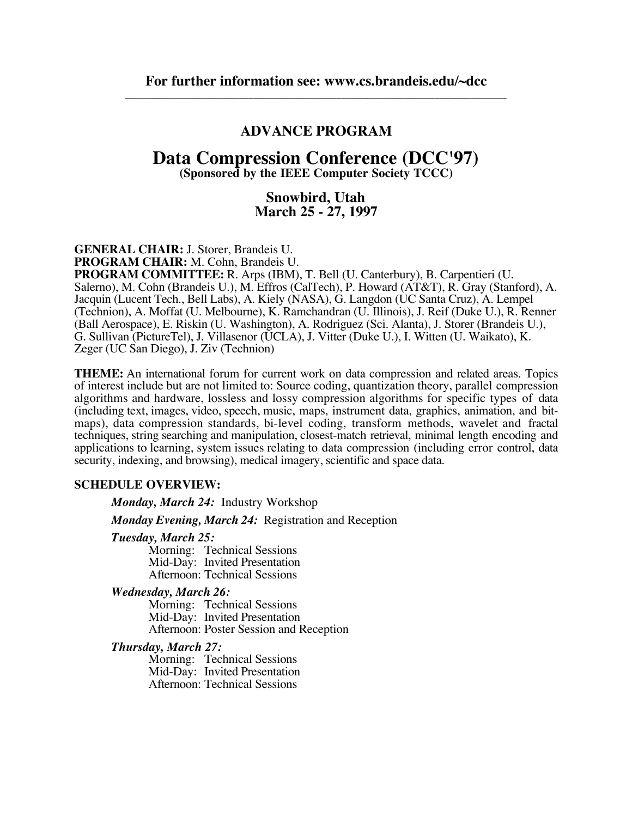### **ADVANCE PROGRAM**

## **Data Compression Conference (DCC'97)**

**(Sponsored by the IEEE Computer Society TCCC)**

### **Snowbird, Utah March 25 - 27, 1997**

**GENERAL CHAIR:** J. Storer, Brandeis U.

**PROGRAM CHAIR:** M. Cohn, Brandeis U.

**PROGRAM COMMITTEE:** R. Arps (IBM), T. Bell (U. Canterbury), B. Carpentieri (U. Salerno), M. Cohn (Brandeis U.), M. Effros (CalTech), P. Howard (AT&T), R. Gray (Stanford), A. Jacquin (Lucent Tech., Bell Labs), A. Kiely (NASA), G. Langdon (UC Santa Cruz), A. Lempel (Technion), A. Moffat (U. Melbourne), K. Ramchandran (U. Illinois), J. Reif (Duke U.), R. Renner (Ball Aerospace), E. Riskin (U. Washington), A. Rodriguez (Sci. Alanta), J. Storer (Brandeis U.), G. Sullivan (PictureTel), J. Villasenor (UCLA), J. Vitter (Duke U.), I. Witten (U. Waikato), K. Zeger (UC San Diego), J. Ziv (Technion)

**THEME:** An international forum for current work on data compression and related areas. Topics of interest include but are not limited to: Source coding, quantization theory, parallel compression algorithms and hardware, lossless and lossy compression algorithms for specific types of data (including text, images, video, speech, music, maps, instrument data, graphics, animation, and bitmaps), data compression standards, bi-level coding, transform methods, wavelet and fractal techniques, string searching and manipulation, closest-match retrieval, minimal length encoding and applications to learning, system issues relating to data compression (including error control, data security, indexing, and browsing), medical imagery, scientific and space data.

### **SCHEDULE OVERVIEW:**

*Monday, March 24:* Industry Workshop

*Monday Evening, March 24:* Registration and Reception

#### *Tuesday, March 25:*

Morning: Technical Sessions Mid-Day: Invited Presentation Afternoon: Technical Sessions

### *Wednesday, March 26:*

Morning: Technical Sessions Mid-Day: Invited Presentation Afternoon: Poster Session and Reception

#### *Thursday, March 27:*

Morning: Technical Sessions Mid-Day: Invited Presentation Afternoon: Technical Sessions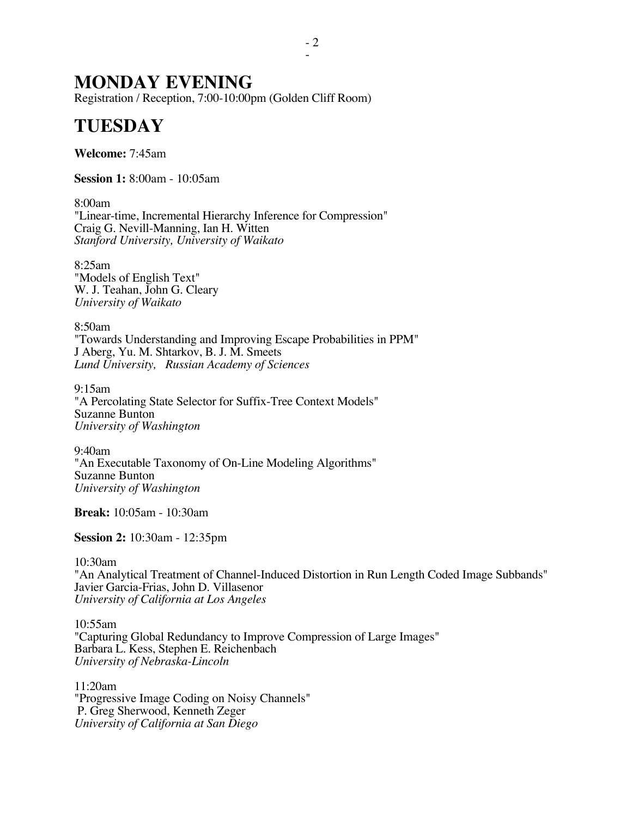## **MONDAY EVENING**

Registration / Reception, 7:00-10:00pm (Golden Cliff Room)

# **TUESDAY**

**Welcome:** 7:45am

**Session 1:** 8:00am - 10:05am

8:00am "Linear-time, Incremental Hierarchy Inference for Compression" Craig G. Nevill-Manning, Ian H. Witten *Stanford University, University of Waikato*

8:25am "Models of English Text" W. J. Teahan, John G. Cleary *University of Waikato*

8:50am "Towards Understanding and Improving Escape Probabilities in PPM" J Aberg, Yu. M. Shtarkov, B. J. M. Smeets *Lund University, Russian Academy of Sciences*

9:15am "A Percolating State Selector for Suffix-Tree Context Models" Suzanne Bunton *University of Washington*

9:40am "An Executable Taxonomy of On-Line Modeling Algorithms" Suzanne Bunton *University of Washington*

**Break:** 10:05am - 10:30am

**Session 2:** 10:30am - 12:35pm

10:30am

"An Analytical Treatment of Channel-Induced Distortion in Run Length Coded Image Subbands" Javier Garcia-Frias, John D. Villasenor *University of California at Los Angeles*

10:55am "Capturing Global Redundancy to Improve Compression of Large Images" Barbara L. Kess, Stephen E. Reichenbach *University of Nebraska-Lincoln*

11:20am "Progressive Image Coding on Noisy Channels" P. Greg Sherwood, Kenneth Zeger *University of California at San Diego*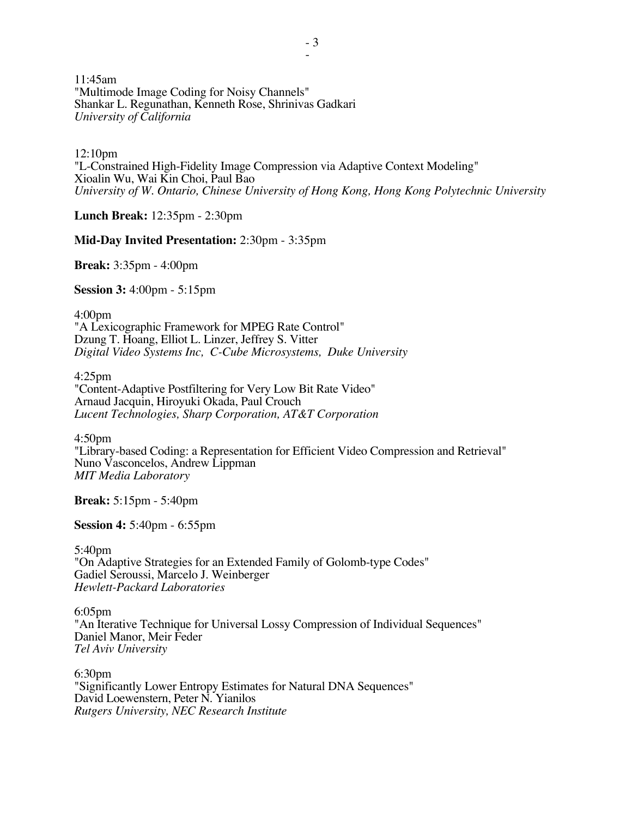11:45am "Multimode Image Coding for Noisy Channels" Shankar L. Regunathan, Kenneth Rose, Shrinivas Gadkari *University of California*

12:10pm "L-Constrained High-Fidelity Image Compression via Adaptive Context Modeling" Xioalin Wu, Wai Kin Choi, Paul Bao *University of W. Ontario, Chinese University of Hong Kong, Hong Kong Polytechnic University*

**Lunch Break:** 12:35pm - 2:30pm

**Mid-Day Invited Presentation:** 2:30pm - 3:35pm

**Break:** 3:35pm - 4:00pm

**Session 3:** 4:00pm - 5:15pm

4:00pm "A Lexicographic Framework for MPEG Rate Control" Dzung T. Hoang, Elliot L. Linzer, Jeffrey S. Vitter *Digital Video Systems Inc, C-Cube Microsystems, Duke University*

4:25pm "Content-Adaptive Postfiltering for Very Low Bit Rate Video" Arnaud Jacquin, Hiroyuki Okada, Paul Crouch *Lucent Technologies, Sharp Corporation, AT&T Corporation*

4:50pm "Library-based Coding: a Representation for Efficient Video Compression and Retrieval" Nuno Vasconcelos, Andrew Lippman *MIT Media Laboratory*

**Break:** 5:15pm - 5:40pm

**Session 4:** 5:40pm - 6:55pm

5:40pm "On Adaptive Strategies for an Extended Family of Golomb-type Codes" Gadiel Seroussi, Marcelo J. Weinberger *Hewlett-Packard Laboratories*

6:05pm "An Iterative Technique for Universal Lossy Compression of Individual Sequences" Daniel Manor, Meir Feder *Tel Aviv University*

6:30pm "Significantly Lower Entropy Estimates for Natural DNA Sequences" David Loewenstern, Peter N. Yianilos *Rutgers University, NEC Research Institute*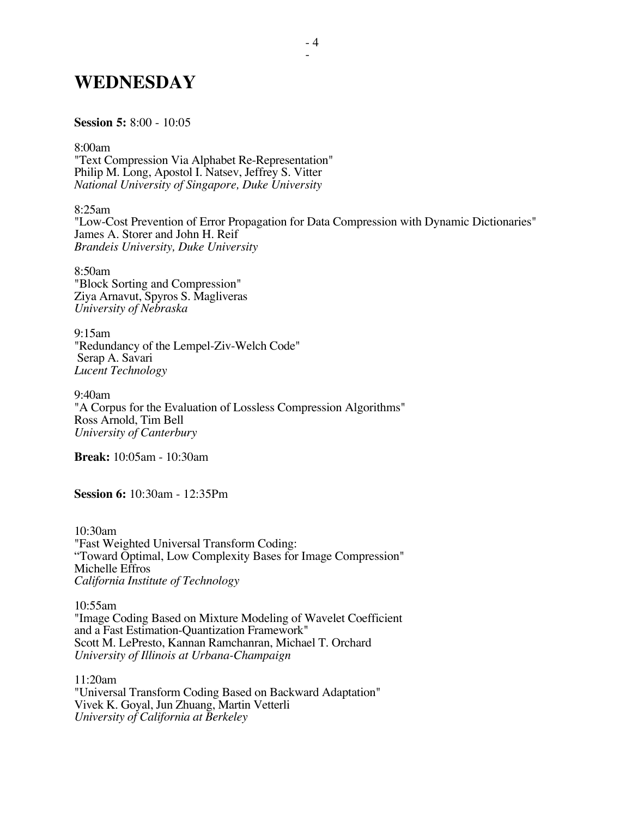## **WEDNESDAY**

#### **Session 5:** 8:00 - 10:05

8:00am "Text Compression Via Alphabet Re-Representation" Philip M. Long, Apostol I. Natsev, Jeffrey S. Vitter *National University of Singapore, Duke University*

8:25am "Low-Cost Prevention of Error Propagation for Data Compression with Dynamic Dictionaries" James A. Storer and John H. Reif *Brandeis University, Duke University*

8:50am "Block Sorting and Compression" Ziya Arnavut, Spyros S. Magliveras *University of Nebraska*

9:15am "Redundancy of the Lempel-Ziv-Welch Code" Serap A. Savari *Lucent Technology*

9:40am "A Corpus for the Evaluation of Lossless Compression Algorithms" Ross Arnold, Tim Bell *University of Canterbury*

**Break:** 10:05am - 10:30am

**Session 6:** 10:30am - 12:35Pm

10:30am "Fast Weighted Universal Transform Coding: "Toward Optimal, Low Complexity Bases for Image Compression" Michelle Effros *California Institute of Technology*

10:55am "Image Coding Based on Mixture Modeling of Wavelet Coefficient and a Fast Estimation-Quantization Framework" Scott M. LePresto, Kannan Ramchanran, Michael T. Orchard *University of Illinois at Urbana-Champaign*

11:20am "Universal Transform Coding Based on Backward Adaptation" Vivek K. Goyal, Jun Zhuang, Martin Vetterli *University of California at Berkeley*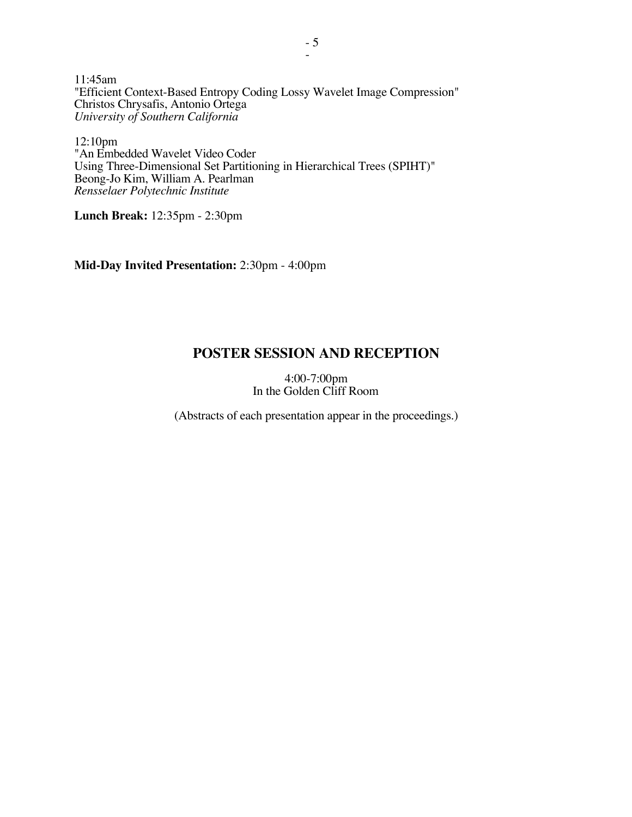11:45am "Efficient Context-Based Entropy Coding Lossy Wavelet Image Compression" Christos Chrysafis, Antonio Ortega *University of Southern California*

12:10pm "An Embedded Wavelet Video Coder Using Three-Dimensional Set Partitioning in Hierarchical Trees (SPIHT)" Beong-Jo Kim, William A. Pearlman *Rensselaer Polytechnic Institute*

**Lunch Break:** 12:35pm - 2:30pm

**Mid-Day Invited Presentation:** 2:30pm - 4:00pm

## **POSTER SESSION AND RECEPTION**

4:00-7:00pm In the Golden Cliff Room

(Abstracts of each presentation appear in the proceedings.)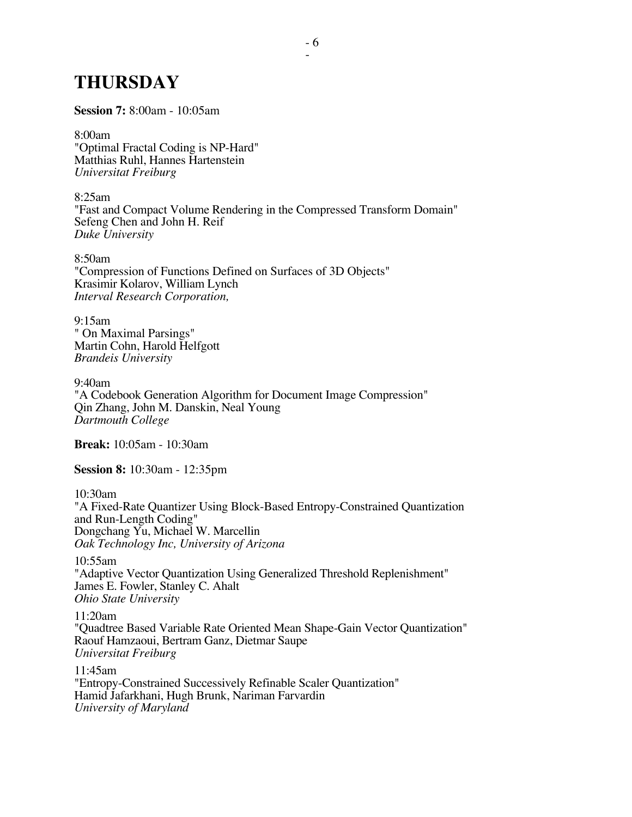# **THURSDAY**

**Session 7:** 8:00am - 10:05am

8:00am "Optimal Fractal Coding is NP-Hard" Matthias Ruhl, Hannes Hartenstein *Universitat Freiburg*

8:25am "Fast and Compact Volume Rendering in the Compressed Transform Domain" Sefeng Chen and John H. Reif *Duke University*

8:50am "Compression of Functions Defined on Surfaces of 3D Objects" Krasimir Kolarov, William Lynch *Interval Research Corporation,*

9:15am " On Maximal Parsings" Martin Cohn, Harold Helfgott *Brandeis University*

9:40am "A Codebook Generation Algorithm for Document Image Compression" Qin Zhang, John M. Danskin, Neal Young *Dartmouth College*

**Break:** 10:05am - 10:30am

**Session 8:** 10:30am - 12:35pm

10:30am

"A Fixed-Rate Quantizer Using Block-Based Entropy-Constrained Quantization and Run-Length Coding" Dongchang Yu, Michael W. Marcellin *Oak Technology Inc, University of Arizona*

10:55am "Adaptive Vector Quantization Using Generalized Threshold Replenishment" James E. Fowler, Stanley C. Ahalt *Ohio State University*

11:20am "Quadtree Based Variable Rate Oriented Mean Shape-Gain Vector Quantization" Raouf Hamzaoui, Bertram Ganz, Dietmar Saupe *Universitat Freiburg*

11:45am "Entropy-Constrained Successively Refinable Scaler Quantization" Hamid Jafarkhani, Hugh Brunk, Nariman Farvardin *University of Maryland*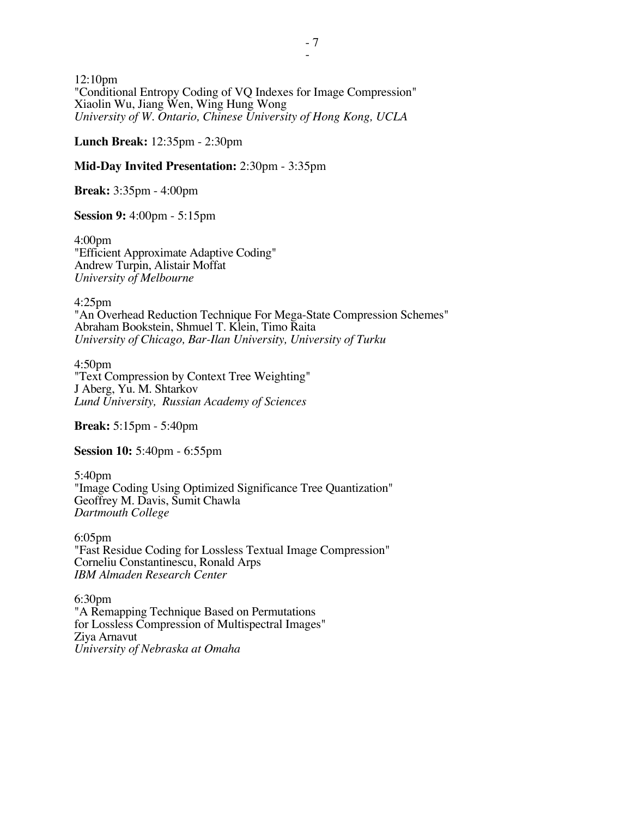12:10pm "Conditional Entropy Coding of VQ Indexes for Image Compression" Xiaolin Wu, Jiang Wen, Wing Hung Wong *University of W. Ontario, Chinese University of Hong Kong, UCLA*

**Lunch Break:** 12:35pm - 2:30pm

### **Mid-Day Invited Presentation:** 2:30pm - 3:35pm

**Break:** 3:35pm - 4:00pm

**Session 9:** 4:00pm - 5:15pm

4:00pm "Efficient Approximate Adaptive Coding" Andrew Turpin, Alistair Moffat *University of Melbourne*

4:25pm "An Overhead Reduction Technique For Mega-State Compression Schemes" Abraham Bookstein, Shmuel T. Klein, Timo Raita *University of Chicago, Bar-Ilan University, University of Turku*

4:50pm "Text Compression by Context Tree Weighting" J Aberg, Yu. M. Shtarkov *Lund University, Russian Academy of Sciences*

**Break:** 5:15pm - 5:40pm

**Session 10:** 5:40pm - 6:55pm

5:40pm "Image Coding Using Optimized Significance Tree Quantization" Geoffrey M. Davis, Sumit Chawla *Dartmouth College*

6:05pm "Fast Residue Coding for Lossless Textual Image Compression" Corneliu Constantinescu, Ronald Arps *IBM Almaden Research Center*

6:30pm "A Remapping Technique Based on Permutations for Lossless Compression of Multispectral Images" Ziya Arnavut *University of Nebraska at Omaha*